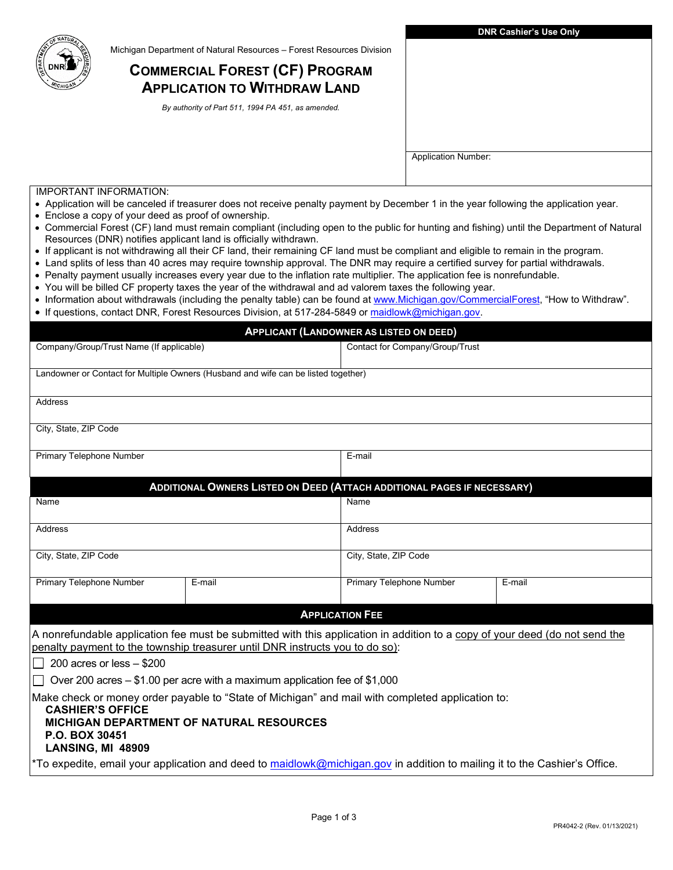

Michigan Department of Natural Resources – Forest Resources Division

## **COMMERCIAL FOREST (CF) PROGRAM APPLICATION TO WITHDRAW LAND**

 *By authority of Part 511, 1994 PA 451, as amended.* 

|                                                                                                                                                                                                    |                                                                                                                                                                                                                                          |                          | <b>Application Number:</b>      |        |  |  |  |
|----------------------------------------------------------------------------------------------------------------------------------------------------------------------------------------------------|------------------------------------------------------------------------------------------------------------------------------------------------------------------------------------------------------------------------------------------|--------------------------|---------------------------------|--------|--|--|--|
|                                                                                                                                                                                                    |                                                                                                                                                                                                                                          |                          |                                 |        |  |  |  |
| <b>IMPORTANT INFORMATION:</b>                                                                                                                                                                      |                                                                                                                                                                                                                                          |                          |                                 |        |  |  |  |
|                                                                                                                                                                                                    | • Application will be canceled if treasurer does not receive penalty payment by December 1 in the year following the application year.                                                                                                   |                          |                                 |        |  |  |  |
| • Enclose a copy of your deed as proof of ownership.<br>• Commercial Forest (CF) land must remain compliant (including open to the public for hunting and fishing) until the Department of Natural |                                                                                                                                                                                                                                          |                          |                                 |        |  |  |  |
|                                                                                                                                                                                                    | Resources (DNR) notifies applicant land is officially withdrawn.                                                                                                                                                                         |                          |                                 |        |  |  |  |
|                                                                                                                                                                                                    | • If applicant is not withdrawing all their CF land, their remaining CF land must be compliant and eligible to remain in the program.                                                                                                    |                          |                                 |        |  |  |  |
|                                                                                                                                                                                                    | • Land splits of less than 40 acres may require township approval. The DNR may require a certified survey for partial withdrawals.                                                                                                       |                          |                                 |        |  |  |  |
|                                                                                                                                                                                                    | • Penalty payment usually increases every year due to the inflation rate multiplier. The application fee is nonrefundable.<br>• You will be billed CF property taxes the year of the withdrawal and ad valorem taxes the following year. |                          |                                 |        |  |  |  |
|                                                                                                                                                                                                    | • Information about withdrawals (including the penalty table) can be found at www.Michigan.gov/CommercialForest, "How to Withdraw".                                                                                                      |                          |                                 |        |  |  |  |
|                                                                                                                                                                                                    | • If questions, contact DNR, Forest Resources Division, at 517-284-5849 or maidlowk@michigan.gov.                                                                                                                                        |                          |                                 |        |  |  |  |
|                                                                                                                                                                                                    | <b>APPLICANT (LANDOWNER AS LISTED ON DEED)</b>                                                                                                                                                                                           |                          |                                 |        |  |  |  |
| Company/Group/Trust Name (If applicable)                                                                                                                                                           |                                                                                                                                                                                                                                          |                          | Contact for Company/Group/Trust |        |  |  |  |
|                                                                                                                                                                                                    |                                                                                                                                                                                                                                          |                          |                                 |        |  |  |  |
|                                                                                                                                                                                                    | Landowner or Contact for Multiple Owners (Husband and wife can be listed together)                                                                                                                                                       |                          |                                 |        |  |  |  |
|                                                                                                                                                                                                    |                                                                                                                                                                                                                                          |                          |                                 |        |  |  |  |
| Address                                                                                                                                                                                            |                                                                                                                                                                                                                                          |                          |                                 |        |  |  |  |
| City, State, ZIP Code                                                                                                                                                                              |                                                                                                                                                                                                                                          |                          |                                 |        |  |  |  |
|                                                                                                                                                                                                    |                                                                                                                                                                                                                                          |                          |                                 |        |  |  |  |
| Primary Telephone Number                                                                                                                                                                           |                                                                                                                                                                                                                                          | E-mail                   |                                 |        |  |  |  |
|                                                                                                                                                                                                    |                                                                                                                                                                                                                                          |                          |                                 |        |  |  |  |
|                                                                                                                                                                                                    | ADDITIONAL OWNERS LISTED ON DEED (ATTACH ADDITIONAL PAGES IF NECESSARY)                                                                                                                                                                  |                          |                                 |        |  |  |  |
| Name                                                                                                                                                                                               |                                                                                                                                                                                                                                          | Name                     |                                 |        |  |  |  |
| Address                                                                                                                                                                                            |                                                                                                                                                                                                                                          | Address                  |                                 |        |  |  |  |
|                                                                                                                                                                                                    |                                                                                                                                                                                                                                          |                          |                                 |        |  |  |  |
| City, State, ZIP Code                                                                                                                                                                              |                                                                                                                                                                                                                                          | City, State, ZIP Code    |                                 |        |  |  |  |
|                                                                                                                                                                                                    |                                                                                                                                                                                                                                          |                          |                                 |        |  |  |  |
| Primary Telephone Number                                                                                                                                                                           | E-mail                                                                                                                                                                                                                                   | Primary Telephone Number |                                 | E-mail |  |  |  |
|                                                                                                                                                                                                    |                                                                                                                                                                                                                                          |                          |                                 |        |  |  |  |
|                                                                                                                                                                                                    |                                                                                                                                                                                                                                          | <b>APPLICATION FEE</b>   |                                 |        |  |  |  |
|                                                                                                                                                                                                    | A nonrefundable application fee must be submitted with this application in addition to a copy of your deed (do not send the                                                                                                              |                          |                                 |        |  |  |  |
|                                                                                                                                                                                                    | penalty payment to the township treasurer until DNR instructs you to do so):                                                                                                                                                             |                          |                                 |        |  |  |  |
| 200 acres or less $- $200$                                                                                                                                                                         |                                                                                                                                                                                                                                          |                          |                                 |        |  |  |  |
|                                                                                                                                                                                                    | Over 200 acres $-$ \$1.00 per acre with a maximum application fee of \$1,000                                                                                                                                                             |                          |                                 |        |  |  |  |
|                                                                                                                                                                                                    | Make check or money order payable to "State of Michigan" and mail with completed application to:                                                                                                                                         |                          |                                 |        |  |  |  |
| <b>CASHIER'S OFFICE</b>                                                                                                                                                                            |                                                                                                                                                                                                                                          |                          |                                 |        |  |  |  |
|                                                                                                                                                                                                    | <b>MICHIGAN DEPARTMENT OF NATURAL RESOURCES</b>                                                                                                                                                                                          |                          |                                 |        |  |  |  |
| <b>P.O. BOX 30451</b><br>LANSING, MI 48909                                                                                                                                                         |                                                                                                                                                                                                                                          |                          |                                 |        |  |  |  |
|                                                                                                                                                                                                    | *To expedite, email your application and deed to maidlowk@michigan.gov in addition to mailing it to the Cashier's Office.                                                                                                                |                          |                                 |        |  |  |  |
|                                                                                                                                                                                                    |                                                                                                                                                                                                                                          |                          |                                 |        |  |  |  |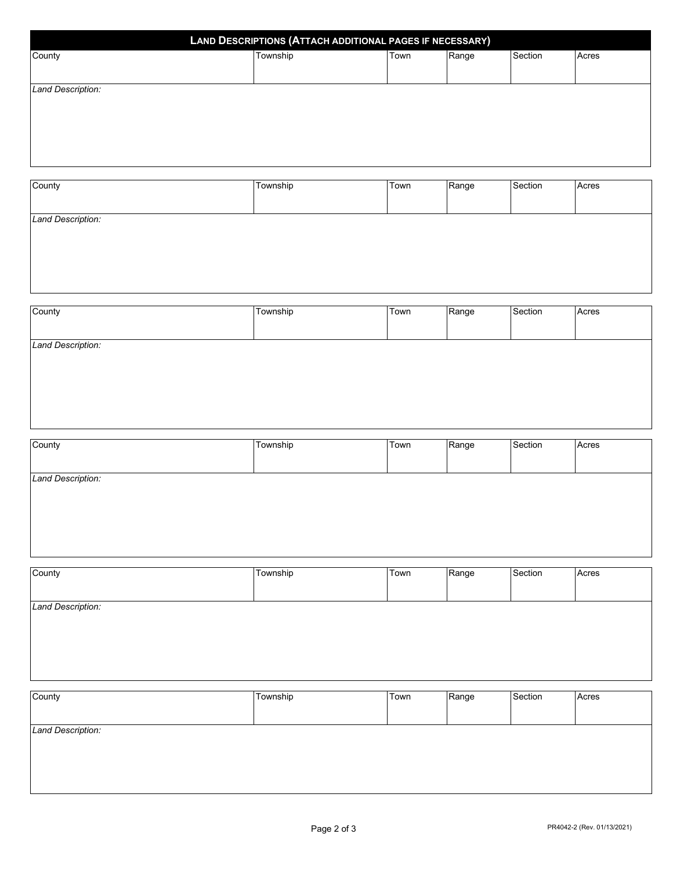| LAND DESCRIPTIONS (ATTACH ADDITIONAL PAGES IF NECESSARY) |          |      |       |         |       |  |
|----------------------------------------------------------|----------|------|-------|---------|-------|--|
| County                                                   | Township | Town | Range | Section | Acres |  |
|                                                          |          |      |       |         |       |  |
| Land Description:                                        |          |      |       |         |       |  |
|                                                          |          |      |       |         |       |  |
|                                                          |          |      |       |         |       |  |
|                                                          |          |      |       |         |       |  |
|                                                          |          |      |       |         |       |  |
|                                                          |          |      |       |         |       |  |
| County                                                   | Township | Town | Range | Section | Acres |  |
|                                                          |          |      |       |         |       |  |

*Land Description:* 

| Land Description: |  |  |  |
|-------------------|--|--|--|

County Township Town Range Section Acres

*Land Description:* 

| County            | Township | Town | Range | Section | Acres |
|-------------------|----------|------|-------|---------|-------|
|                   |          |      |       |         |       |
|                   |          |      |       |         |       |
| Land Description: |          |      |       |         |       |
|                   |          |      |       |         |       |
|                   |          |      |       |         |       |
|                   |          |      |       |         |       |
|                   |          |      |       |         |       |
|                   |          |      |       |         |       |

| County            | Township | Town | Range | Section | Acres |
|-------------------|----------|------|-------|---------|-------|
|                   |          |      |       |         |       |
| Land Description: |          |      |       |         |       |
|                   |          |      |       |         |       |
|                   |          |      |       |         |       |
|                   |          |      |       |         |       |